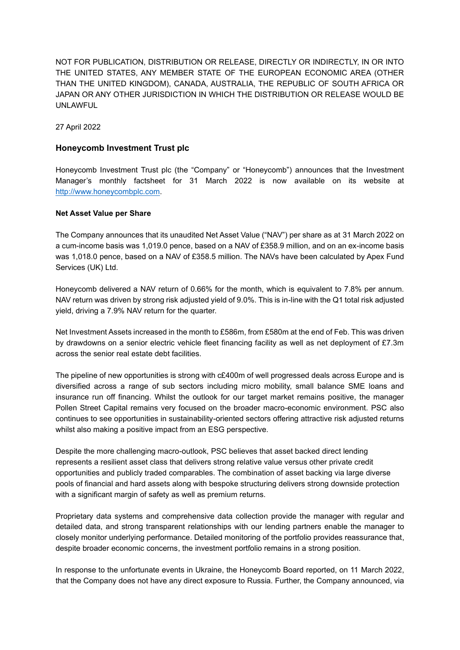NOT FOR PUBLICATION, DISTRIBUTION OR RELEASE, DIRECTLY OR INDIRECTLY, IN OR INTO THE UNITED STATES, ANY MEMBER STATE OF THE EUROPEAN ECONOMIC AREA (OTHER THAN THE UNITED KINGDOM), CANADA, AUSTRALIA, THE REPUBLIC OF SOUTH AFRICA OR JAPAN OR ANY OTHER JURISDICTION IN WHICH THE DISTRIBUTION OR RELEASE WOULD BE UNLAWFUL

27 April 2022

#### **Honeycomb Investment Trust plc**

Honeycomb Investment Trust plc (the "Company" or "Honeycomb") announces that the Investment Manager's monthly factsheet for 31 March 2022 is now available on its website at [http://www.honeycombplc.com.](http://www.honeycombplc.com/documents/)

#### **Net Asset Value per Share**

The Company announces that its unaudited Net Asset Value ("NAV") per share as at 31 March 2022 on a cum-income basis was 1,019.0 pence, based on a NAV of £358.9 million, and on an ex-income basis was 1,018.0 pence, based on a NAV of £358.5 million. The NAVs have been calculated by Apex Fund Services (UK) Ltd.

Honeycomb delivered a NAV return of 0.66% for the month, which is equivalent to 7.8% per annum. NAV return was driven by strong risk adjusted yield of 9.0%. This is in-line with the Q1 total risk adjusted yield, driving a 7.9% NAV return for the quarter.

Net Investment Assets increased in the month to £586m, from £580m at the end of Feb. This was driven by drawdowns on a senior electric vehicle fleet financing facility as well as net deployment of £7.3m across the senior real estate debt facilities.

The pipeline of new opportunities is strong with c£400m of well progressed deals across Europe and is diversified across a range of sub sectors including micro mobility, small balance SME loans and insurance run off financing. Whilst the outlook for our target market remains positive, the manager Pollen Street Capital remains very focused on the broader macro-economic environment. PSC also continues to see opportunities in sustainability-oriented sectors offering attractive risk adjusted returns whilst also making a positive impact from an ESG perspective.

Despite the more challenging macro-outlook, PSC believes that asset backed direct lending represents a resilient asset class that delivers strong relative value versus other private credit opportunities and publicly traded comparables. The combination of asset backing via large diverse pools of financial and hard assets along with bespoke structuring delivers strong downside protection with a significant margin of safety as well as premium returns.

Proprietary data systems and comprehensive data collection provide the manager with regular and detailed data, and strong transparent relationships with our lending partners enable the manager to closely monitor underlying performance. Detailed monitoring of the portfolio provides reassurance that, despite broader economic concerns, the investment portfolio remains in a strong position.

In response to the unfortunate events in Ukraine, the Honeycomb Board reported, on 11 March 2022, that the Company does not have any direct exposure to Russia. Further, the Company announced, via